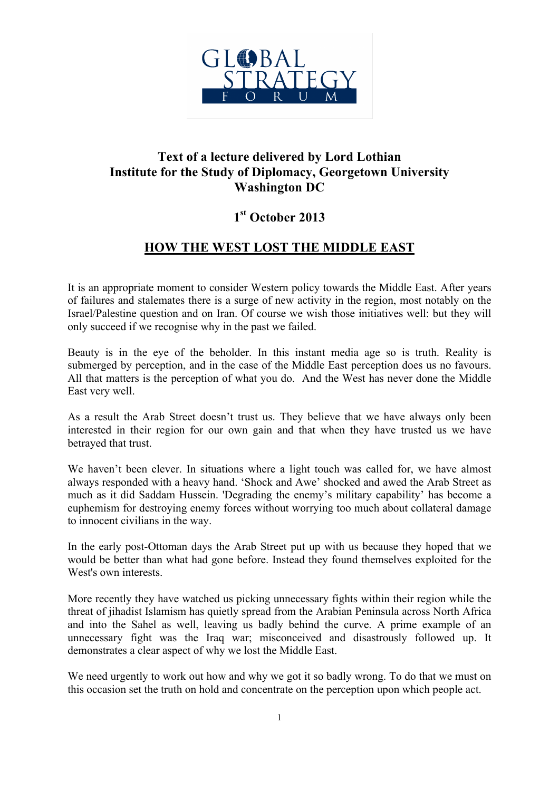

## **Text of a lecture delivered by Lord Lothian Institute for the Study of Diplomacy, Georgetown University Washington DC**

## **1st October 2013**

## **HOW THE WEST LOST THE MIDDLE EAST**

It is an appropriate moment to consider Western policy towards the Middle East. After years of failures and stalemates there is a surge of new activity in the region, most notably on the Israel/Palestine question and on Iran. Of course we wish those initiatives well: but they will only succeed if we recognise why in the past we failed.

Beauty is in the eye of the beholder. In this instant media age so is truth. Reality is submerged by perception, and in the case of the Middle East perception does us no favours. All that matters is the perception of what you do. And the West has never done the Middle East very well.

As a result the Arab Street doesn't trust us. They believe that we have always only been interested in their region for our own gain and that when they have trusted us we have betrayed that trust.

We haven't been clever. In situations where a light touch was called for, we have almost always responded with a heavy hand. 'Shock and Awe' shocked and awed the Arab Street as much as it did Saddam Hussein. 'Degrading the enemy's military capability' has become a euphemism for destroying enemy forces without worrying too much about collateral damage to innocent civilians in the way.

In the early post-Ottoman days the Arab Street put up with us because they hoped that we would be better than what had gone before. Instead they found themselves exploited for the West's own interests.

More recently they have watched us picking unnecessary fights within their region while the threat of jihadist Islamism has quietly spread from the Arabian Peninsula across North Africa and into the Sahel as well, leaving us badly behind the curve. A prime example of an unnecessary fight was the Iraq war; misconceived and disastrously followed up. It demonstrates a clear aspect of why we lost the Middle East.

We need urgently to work out how and why we got it so badly wrong. To do that we must on this occasion set the truth on hold and concentrate on the perception upon which people act.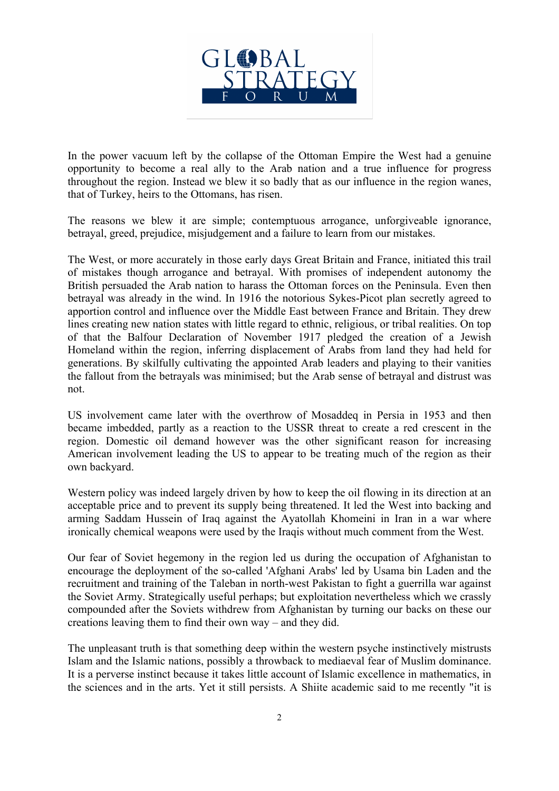

In the power vacuum left by the collapse of the Ottoman Empire the West had a genuine opportunity to become a real ally to the Arab nation and a true influence for progress throughout the region. Instead we blew it so badly that as our influence in the region wanes, that of Turkey, heirs to the Ottomans, has risen.

The reasons we blew it are simple; contemptuous arrogance, unforgiveable ignorance, betrayal, greed, prejudice, misjudgement and a failure to learn from our mistakes.

The West, or more accurately in those early days Great Britain and France, initiated this trail of mistakes though arrogance and betrayal. With promises of independent autonomy the British persuaded the Arab nation to harass the Ottoman forces on the Peninsula. Even then betrayal was already in the wind. In 1916 the notorious Sykes-Picot plan secretly agreed to apportion control and influence over the Middle East between France and Britain. They drew lines creating new nation states with little regard to ethnic, religious, or tribal realities. On top of that the Balfour Declaration of November 1917 pledged the creation of a Jewish Homeland within the region, inferring displacement of Arabs from land they had held for generations. By skilfully cultivating the appointed Arab leaders and playing to their vanities the fallout from the betrayals was minimised; but the Arab sense of betrayal and distrust was not.

US involvement came later with the overthrow of Mosaddeq in Persia in 1953 and then became imbedded, partly as a reaction to the USSR threat to create a red crescent in the region. Domestic oil demand however was the other significant reason for increasing American involvement leading the US to appear to be treating much of the region as their own backyard.

Western policy was indeed largely driven by how to keep the oil flowing in its direction at an acceptable price and to prevent its supply being threatened. It led the West into backing and arming Saddam Hussein of Iraq against the Ayatollah Khomeini in Iran in a war where ironically chemical weapons were used by the Iraqis without much comment from the West.

Our fear of Soviet hegemony in the region led us during the occupation of Afghanistan to encourage the deployment of the so-called 'Afghani Arabs' led by Usama bin Laden and the recruitment and training of the Taleban in north-west Pakistan to fight a guerrilla war against the Soviet Army. Strategically useful perhaps; but exploitation nevertheless which we crassly compounded after the Soviets withdrew from Afghanistan by turning our backs on these our creations leaving them to find their own way – and they did.

The unpleasant truth is that something deep within the western psyche instinctively mistrusts Islam and the Islamic nations, possibly a throwback to mediaeval fear of Muslim dominance. It is a perverse instinct because it takes little account of Islamic excellence in mathematics, in the sciences and in the arts. Yet it still persists. A Shiite academic said to me recently "it is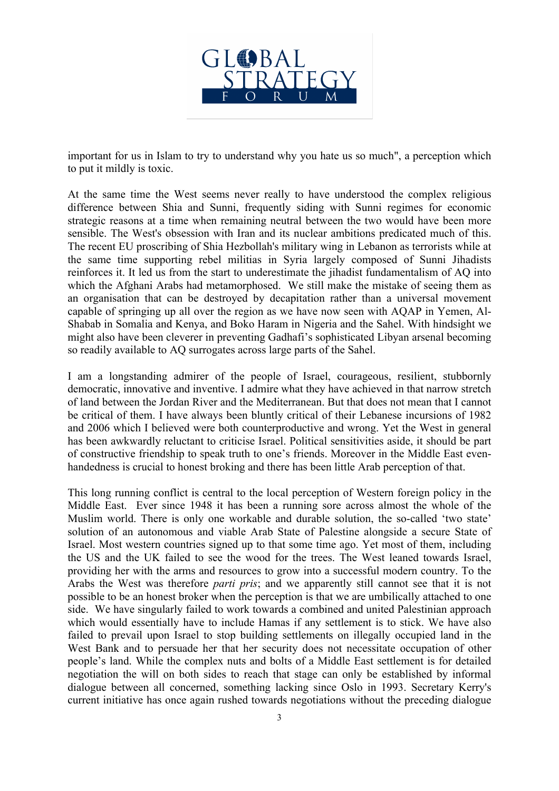

important for us in Islam to try to understand why you hate us so much", a perception which to put it mildly is toxic.

At the same time the West seems never really to have understood the complex religious difference between Shia and Sunni, frequently siding with Sunni regimes for economic strategic reasons at a time when remaining neutral between the two would have been more sensible. The West's obsession with Iran and its nuclear ambitions predicated much of this. The recent EU proscribing of Shia Hezbollah's military wing in Lebanon as terrorists while at the same time supporting rebel militias in Syria largely composed of Sunni Jihadists reinforces it. It led us from the start to underestimate the jihadist fundamentalism of AQ into which the Afghani Arabs had metamorphosed. We still make the mistake of seeing them as an organisation that can be destroyed by decapitation rather than a universal movement capable of springing up all over the region as we have now seen with AQAP in Yemen, Al-Shabab in Somalia and Kenya, and Boko Haram in Nigeria and the Sahel. With hindsight we might also have been cleverer in preventing Gadhafi's sophisticated Libyan arsenal becoming so readily available to AQ surrogates across large parts of the Sahel.

I am a longstanding admirer of the people of Israel, courageous, resilient, stubbornly democratic, innovative and inventive. I admire what they have achieved in that narrow stretch of land between the Jordan River and the Mediterranean. But that does not mean that I cannot be critical of them. I have always been bluntly critical of their Lebanese incursions of 1982 and 2006 which I believed were both counterproductive and wrong. Yet the West in general has been awkwardly reluctant to criticise Israel. Political sensitivities aside, it should be part of constructive friendship to speak truth to one's friends. Moreover in the Middle East evenhandedness is crucial to honest broking and there has been little Arab perception of that.

This long running conflict is central to the local perception of Western foreign policy in the Middle East. Ever since 1948 it has been a running sore across almost the whole of the Muslim world. There is only one workable and durable solution, the so-called 'two state' solution of an autonomous and viable Arab State of Palestine alongside a secure State of Israel. Most western countries signed up to that some time ago. Yet most of them, including the US and the UK failed to see the wood for the trees. The West leaned towards Israel, providing her with the arms and resources to grow into a successful modern country. To the Arabs the West was therefore *parti pris*; and we apparently still cannot see that it is not possible to be an honest broker when the perception is that we are umbilically attached to one side. We have singularly failed to work towards a combined and united Palestinian approach which would essentially have to include Hamas if any settlement is to stick. We have also failed to prevail upon Israel to stop building settlements on illegally occupied land in the West Bank and to persuade her that her security does not necessitate occupation of other people's land. While the complex nuts and bolts of a Middle East settlement is for detailed negotiation the will on both sides to reach that stage can only be established by informal dialogue between all concerned, something lacking since Oslo in 1993. Secretary Kerry's current initiative has once again rushed towards negotiations without the preceding dialogue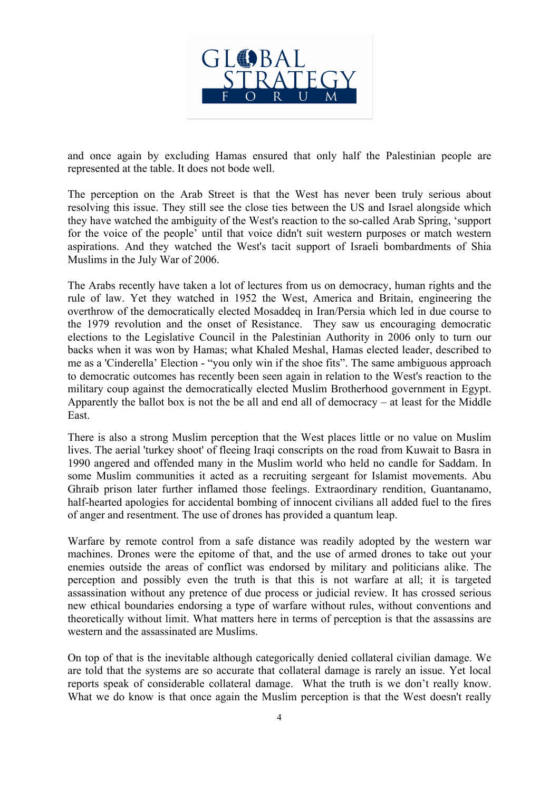

and once again by excluding Hamas ensured that only half the Palestinian people are represented at the table. It does not bode well.

The perception on the Arab Street is that the West has never been truly serious about resolving this issue. They still see the close ties between the US and Israel alongside which they have watched the ambiguity of the West's reaction to the so-called Arab Spring, 'support for the voice of the people' until that voice didn't suit western purposes or match western aspirations. And they watched the West's tacit support of Israeli bombardments of Shia Muslims in the July War of 2006.

The Arabs recently have taken a lot of lectures from us on democracy, human rights and the rule of law. Yet they watched in 1952 the West, America and Britain, engineering the overthrow of the democratically elected Mosaddeq in Iran/Persia which led in due course to the 1979 revolution and the onset of Resistance. They saw us encouraging democratic elections to the Legislative Council in the Palestinian Authority in 2006 only to turn our backs when it was won by Hamas; what Khaled Meshal, Hamas elected leader, described to me as a 'Cinderella' Election - "you only win if the shoe fits". The same ambiguous approach to democratic outcomes has recently been seen again in relation to the West's reaction to the military coup against the democratically elected Muslim Brotherhood government in Egypt. Apparently the ballot box is not the be all and end all of democracy – at least for the Middle East.

There is also a strong Muslim perception that the West places little or no value on Muslim lives. The aerial 'turkey shoot' of fleeing Iraqi conscripts on the road from Kuwait to Basra in 1990 angered and offended many in the Muslim world who held no candle for Saddam. In some Muslim communities it acted as a recruiting sergeant for Islamist movements. Abu Ghraib prison later further inflamed those feelings. Extraordinary rendition, Guantanamo, half-hearted apologies for accidental bombing of innocent civilians all added fuel to the fires of anger and resentment. The use of drones has provided a quantum leap.

Warfare by remote control from a safe distance was readily adopted by the western war machines. Drones were the epitome of that, and the use of armed drones to take out your enemies outside the areas of conflict was endorsed by military and politicians alike. The perception and possibly even the truth is that this is not warfare at all; it is targeted assassination without any pretence of due process or judicial review. It has crossed serious new ethical boundaries endorsing a type of warfare without rules, without conventions and theoretically without limit. What matters here in terms of perception is that the assassins are western and the assassinated are Muslims.

On top of that is the inevitable although categorically denied collateral civilian damage. We are told that the systems are so accurate that collateral damage is rarely an issue. Yet local reports speak of considerable collateral damage. What the truth is we don't really know. What we do know is that once again the Muslim perception is that the West doesn't really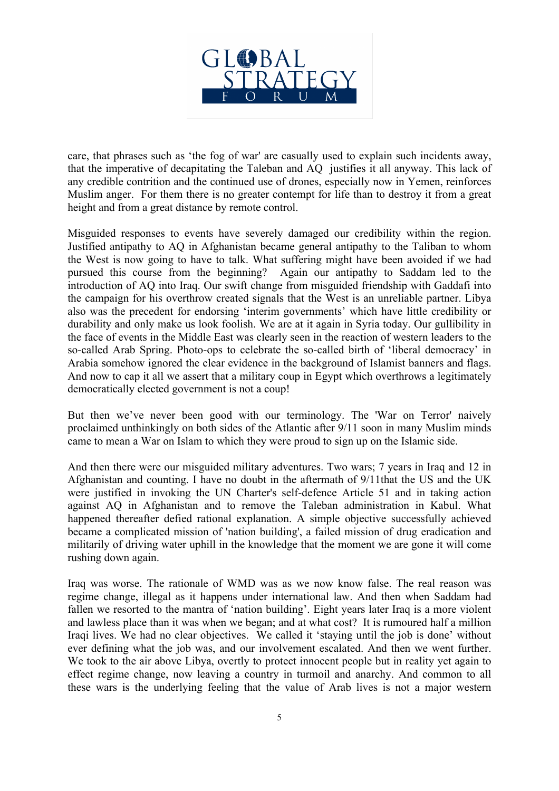

care, that phrases such as 'the fog of war' are casually used to explain such incidents away, that the imperative of decapitating the Taleban and AQ justifies it all anyway. This lack of any credible contrition and the continued use of drones, especially now in Yemen, reinforces Muslim anger. For them there is no greater contempt for life than to destroy it from a great height and from a great distance by remote control.

Misguided responses to events have severely damaged our credibility within the region. Justified antipathy to AQ in Afghanistan became general antipathy to the Taliban to whom the West is now going to have to talk. What suffering might have been avoided if we had pursued this course from the beginning? Again our antipathy to Saddam led to the introduction of AQ into Iraq. Our swift change from misguided friendship with Gaddafi into the campaign for his overthrow created signals that the West is an unreliable partner. Libya also was the precedent for endorsing 'interim governments' which have little credibility or durability and only make us look foolish. We are at it again in Syria today. Our gullibility in the face of events in the Middle East was clearly seen in the reaction of western leaders to the so-called Arab Spring. Photo-ops to celebrate the so-called birth of 'liberal democracy' in Arabia somehow ignored the clear evidence in the background of Islamist banners and flags. And now to cap it all we assert that a military coup in Egypt which overthrows a legitimately democratically elected government is not a coup!

But then we've never been good with our terminology. The 'War on Terror' naively proclaimed unthinkingly on both sides of the Atlantic after 9/11 soon in many Muslim minds came to mean a War on Islam to which they were proud to sign up on the Islamic side.

And then there were our misguided military adventures. Two wars; 7 years in Iraq and 12 in Afghanistan and counting. I have no doubt in the aftermath of 9/11that the US and the UK were justified in invoking the UN Charter's self-defence Article 51 and in taking action against AQ in Afghanistan and to remove the Taleban administration in Kabul. What happened thereafter defied rational explanation. A simple objective successfully achieved became a complicated mission of 'nation building', a failed mission of drug eradication and militarily of driving water uphill in the knowledge that the moment we are gone it will come rushing down again.

Iraq was worse. The rationale of WMD was as we now know false. The real reason was regime change, illegal as it happens under international law. And then when Saddam had fallen we resorted to the mantra of 'nation building'. Eight years later Iraq is a more violent and lawless place than it was when we began; and at what cost? It is rumoured half a million Iraqi lives. We had no clear objectives. We called it 'staying until the job is done' without ever defining what the job was, and our involvement escalated. And then we went further. We took to the air above Libya, overtly to protect innocent people but in reality yet again to effect regime change, now leaving a country in turmoil and anarchy. And common to all these wars is the underlying feeling that the value of Arab lives is not a major western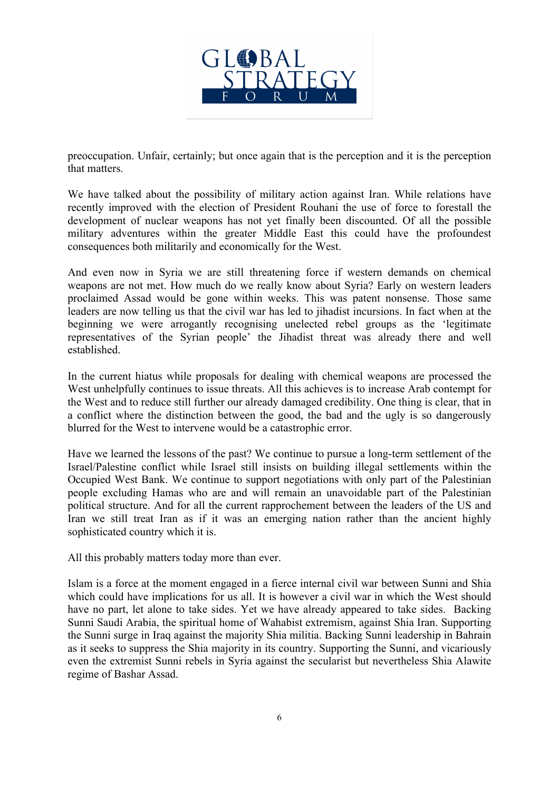

preoccupation. Unfair, certainly; but once again that is the perception and it is the perception that matters.

We have talked about the possibility of military action against Iran. While relations have recently improved with the election of President Rouhani the use of force to forestall the development of nuclear weapons has not yet finally been discounted. Of all the possible military adventures within the greater Middle East this could have the profoundest consequences both militarily and economically for the West.

And even now in Syria we are still threatening force if western demands on chemical weapons are not met. How much do we really know about Syria? Early on western leaders proclaimed Assad would be gone within weeks. This was patent nonsense. Those same leaders are now telling us that the civil war has led to jihadist incursions. In fact when at the beginning we were arrogantly recognising unelected rebel groups as the 'legitimate representatives of the Syrian people' the Jihadist threat was already there and well established.

In the current hiatus while proposals for dealing with chemical weapons are processed the West unhelpfully continues to issue threats. All this achieves is to increase Arab contempt for the West and to reduce still further our already damaged credibility. One thing is clear, that in a conflict where the distinction between the good, the bad and the ugly is so dangerously blurred for the West to intervene would be a catastrophic error.

Have we learned the lessons of the past? We continue to pursue a long-term settlement of the Israel/Palestine conflict while Israel still insists on building illegal settlements within the Occupied West Bank. We continue to support negotiations with only part of the Palestinian people excluding Hamas who are and will remain an unavoidable part of the Palestinian political structure. And for all the current rapprochement between the leaders of the US and Iran we still treat Iran as if it was an emerging nation rather than the ancient highly sophisticated country which it is.

All this probably matters today more than ever.

Islam is a force at the moment engaged in a fierce internal civil war between Sunni and Shia which could have implications for us all. It is however a civil war in which the West should have no part, let alone to take sides. Yet we have already appeared to take sides. Backing Sunni Saudi Arabia, the spiritual home of Wahabist extremism, against Shia Iran. Supporting the Sunni surge in Iraq against the majority Shia militia. Backing Sunni leadership in Bahrain as it seeks to suppress the Shia majority in its country. Supporting the Sunni, and vicariously even the extremist Sunni rebels in Syria against the secularist but nevertheless Shia Alawite regime of Bashar Assad.